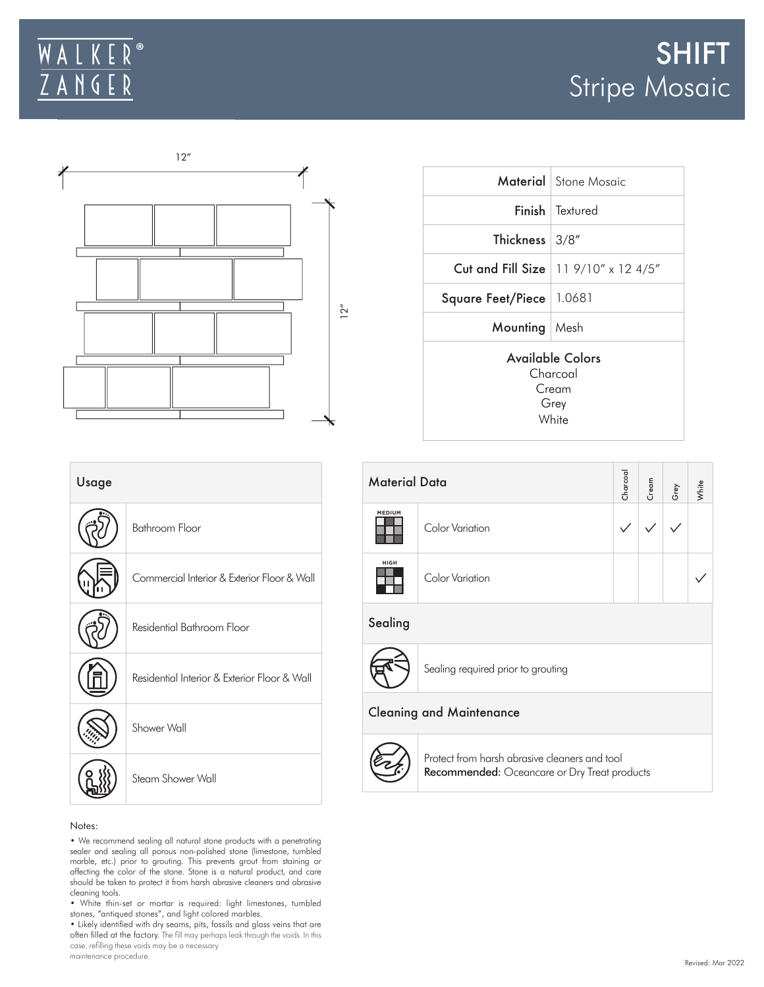## $\overline{R}$ WALK  $Z$  A N G E  $\mathsf R$



|                                                           | <b>Material</b> Stone Mosaic           |  |  |  |  |
|-----------------------------------------------------------|----------------------------------------|--|--|--|--|
|                                                           | <b>Finish</b> Textured                 |  |  |  |  |
| Thickness 3/8"                                            |                                        |  |  |  |  |
|                                                           | Cut and Fill Size   11 9/10" x 12 4/5" |  |  |  |  |
| Square Feet/Piece   1.0681                                |                                        |  |  |  |  |
| Mounting   Mesh                                           |                                        |  |  |  |  |
| Available Colors<br>Charcoal<br>$C$ ream<br>Grey<br>White |                                        |  |  |  |  |

| Usage |                                              | Mate  |
|-------|----------------------------------------------|-------|
|       | <b>Bathroom Floor</b>                        | MEDIU |
|       | Commercial Interior & Exterior Floor & Wall  | HIGH  |
|       | Residential Bathroom Floor                   | Seali |
|       | Residential Interior & Exterior Floor & Wall |       |
|       | Shower Wall                                  | Clear |
|       | Steam Shower Wall                            |       |
|       |                                              |       |

| <b>Material Data</b> |                                                                                                      | Charcoal     | Cream | Grey | White |  |  |  |
|----------------------|------------------------------------------------------------------------------------------------------|--------------|-------|------|-------|--|--|--|
| <b>MEDIUM</b>        | Color Variation                                                                                      | $\checkmark$ |       |      |       |  |  |  |
| <b>HIGH</b>          | Color Variation                                                                                      |              |       |      |       |  |  |  |
| Sealing              |                                                                                                      |              |       |      |       |  |  |  |
|                      | Sealing required prior to grouting                                                                   |              |       |      |       |  |  |  |
|                      | <b>Cleaning and Maintenance</b>                                                                      |              |       |      |       |  |  |  |
|                      | Protect from harsh abrasive cleaners and tool<br><b>Recommended:</b> Oceancare or Dry Treat products |              |       |      |       |  |  |  |

Recommended: Oceancare or Dry Treat products

## Notes:

• We recommend sealing all natural stone products with a penetrating sealer and sealing all porous non-polished stone (limestone, tumbled marble, etc.) prior to grouting. This prevents grout from staining or affecting the color of the stone. Stone is a natural product, and care should be taken to protect it from harsh abrasive cleaners and abrasive cleaning tools.

• White thin-set or mortar is required: light limestones, tumbled stones, "antiqued stones", and light colored marbles.

• Likely identified with dry seams, pits, fossils and glass veins that are often filled at the factory. The fill may perhaps leak through the voids. In this case, refilling these voids may be a necessary maintenance procedure.